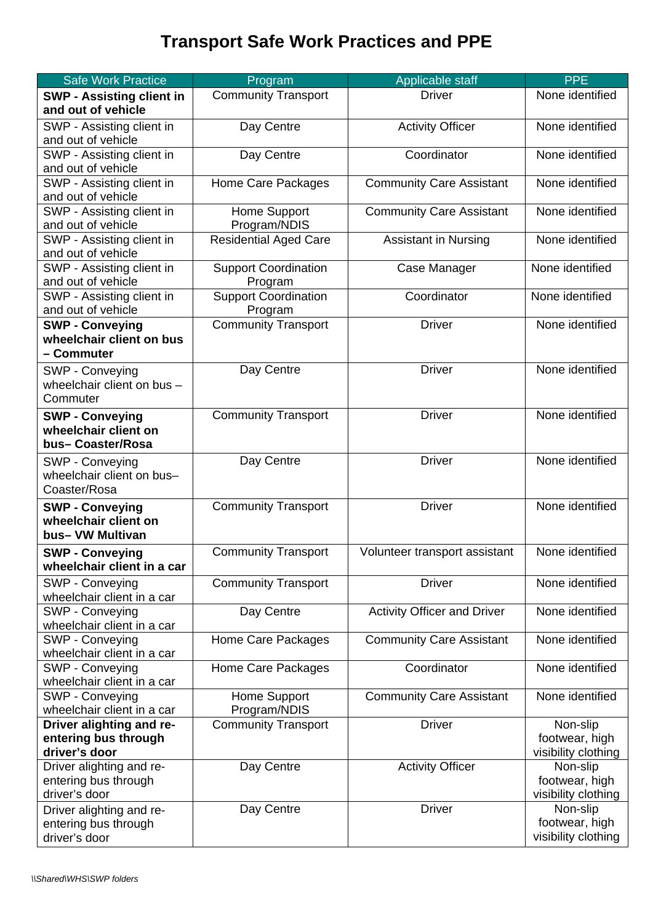## **Transport Safe Work Practices and PPE**

| <b>Safe Work Practice</b>                            | Program                               | Applicable staff                   | <b>PPE</b>                            |
|------------------------------------------------------|---------------------------------------|------------------------------------|---------------------------------------|
| <b>SWP - Assisting client in</b>                     | <b>Community Transport</b>            | <b>Driver</b>                      | None identified                       |
| and out of vehicle                                   |                                       |                                    |                                       |
| SWP - Assisting client in                            | Day Centre                            | <b>Activity Officer</b>            | None identified                       |
| and out of vehicle                                   |                                       |                                    |                                       |
| SWP - Assisting client in                            | Day Centre                            | Coordinator                        | None identified                       |
| and out of vehicle                                   |                                       |                                    |                                       |
| SWP - Assisting client in                            | Home Care Packages                    | <b>Community Care Assistant</b>    | None identified                       |
| and out of vehicle                                   |                                       |                                    |                                       |
| SWP - Assisting client in                            | Home Support                          | <b>Community Care Assistant</b>    | None identified                       |
| and out of vehicle                                   | Program/NDIS                          |                                    |                                       |
| SWP - Assisting client in                            | <b>Residential Aged Care</b>          | <b>Assistant in Nursing</b>        | None identified                       |
| and out of vehicle                                   |                                       |                                    |                                       |
| SWP - Assisting client in                            | <b>Support Coordination</b>           | Case Manager                       | None identified                       |
| and out of vehicle                                   | Program                               |                                    |                                       |
| SWP - Assisting client in<br>and out of vehicle      | <b>Support Coordination</b>           | Coordinator                        | None identified                       |
|                                                      | Program<br><b>Community Transport</b> | <b>Driver</b>                      | None identified                       |
| <b>SWP - Conveying</b><br>wheelchair client on bus   |                                       |                                    |                                       |
| - Commuter                                           |                                       |                                    |                                       |
|                                                      |                                       | <b>Driver</b>                      | None identified                       |
| SWP - Conveying<br>wheelchair client on bus -        | Day Centre                            |                                    |                                       |
| Commuter                                             |                                       |                                    |                                       |
|                                                      |                                       |                                    |                                       |
| <b>SWP - Conveying</b>                               | <b>Community Transport</b>            | <b>Driver</b>                      | None identified                       |
| wheelchair client on<br>bus-Coaster/Rosa             |                                       |                                    |                                       |
|                                                      |                                       | <b>Driver</b>                      | None identified                       |
| SWP - Conveying                                      | Day Centre                            |                                    |                                       |
| wheelchair client on bus-<br>Coaster/Rosa            |                                       |                                    |                                       |
|                                                      |                                       |                                    |                                       |
| <b>SWP - Conveying</b><br>wheelchair client on       | <b>Community Transport</b>            | <b>Driver</b>                      | None identified                       |
| bus- VW Multivan                                     |                                       |                                    |                                       |
|                                                      |                                       |                                    | None identified                       |
| <b>SWP - Conveying</b><br>wheelchair client in a car | <b>Community Transport</b>            | Volunteer transport assistant      |                                       |
|                                                      |                                       |                                    |                                       |
| SWP - Conveying                                      | <b>Community Transport</b>            | <b>Driver</b>                      | None identified                       |
| wheelchair client in a car<br>SWP - Conveying        | Day Centre                            | <b>Activity Officer and Driver</b> | None identified                       |
| wheelchair client in a car                           |                                       |                                    |                                       |
| SWP - Conveying                                      | Home Care Packages                    | <b>Community Care Assistant</b>    | None identified                       |
| wheelchair client in a car                           |                                       |                                    |                                       |
| SWP - Conveying                                      | Home Care Packages                    | Coordinator                        | None identified                       |
| wheelchair client in a car                           |                                       |                                    |                                       |
| SWP - Conveying                                      | Home Support                          | <b>Community Care Assistant</b>    | None identified                       |
| wheelchair client in a car                           | Program/NDIS                          |                                    |                                       |
| Driver alighting and re-                             | <b>Community Transport</b>            | <b>Driver</b>                      | Non-slip                              |
| entering bus through                                 |                                       |                                    | footwear, high                        |
| driver's door                                        |                                       |                                    | visibility clothing                   |
| Driver alighting and re-                             | Day Centre                            | <b>Activity Officer</b>            | Non-slip                              |
| entering bus through                                 |                                       |                                    | footwear, high                        |
| driver's door                                        |                                       |                                    | visibility clothing                   |
| Driver alighting and re-                             | Day Centre                            | <b>Driver</b>                      | Non-slip                              |
| entering bus through                                 |                                       |                                    | footwear, high<br>visibility clothing |
| driver's door                                        |                                       |                                    |                                       |